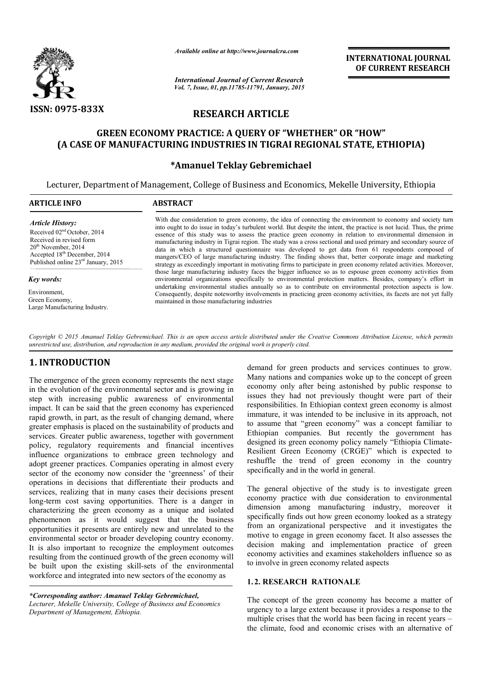

*Available online at http://www.journalcra.com*

*International Journal of Current Research Vol. 7, Issue, 01, pp.11785-11791, January, 2015* **INTERNATIONAL INTERNATIONAL JOURNAL OF CURRENT RESEARCH** 

# **RESEARCH ARTICLE**

# **GREEN ECONOMY PRACTICE: A QUERY OF "WHETHER" OR "HOW" (A CASE OF MANUFACTURING INDUSTRIES IN TIGRAI REGIONAL STATE, ETHIOPIA) CASE OF**

# **\* \*Amanuel Teklay Gebremichael**

Lecturer, Department of Management, College of Business and Economics, Mekelle University, Ethiopia

| <b>ARTICLE INFO</b>                                                                                                                                                                                          | <b>ABSTRACT</b>                                                                                                                                                                                                                                                                                                                                                                                                                                                                                                                                                                                                                                                                                                                                                                                                 |
|--------------------------------------------------------------------------------------------------------------------------------------------------------------------------------------------------------------|-----------------------------------------------------------------------------------------------------------------------------------------------------------------------------------------------------------------------------------------------------------------------------------------------------------------------------------------------------------------------------------------------------------------------------------------------------------------------------------------------------------------------------------------------------------------------------------------------------------------------------------------------------------------------------------------------------------------------------------------------------------------------------------------------------------------|
| <b>Article History:</b><br>Received $02nd$ October, 2014<br>Received in revised form<br>$20th$ November, 2014<br>Accepted 18 <sup>th</sup> December, 2014<br>Published online 23 <sup>rd</sup> January, 2015 | With due consideration to green economy, the idea of connecting the environment to economy and society turn<br>into ought to do issue in today's turbulent world. But despite the intent, the practice is not lucid. Thus, the prime<br>essence of this study was to assess the practice green economy in relation to environmental dimension in<br>manufacturing industry in Tigrai region. The study was a cross sectional and used primary and secondary source of<br>data in which a structured questionnaire was developed to get data from 61 respondents composed of<br>mangers/CEO of large manufacturing industry. The finding shows that, better corporate image and marketing<br>strategy as exceedingly important in motivating firms to participate in green economy related activities. Moreover, |
| Key words:                                                                                                                                                                                                   | those large manufacturing industry faces the bigger influence so as to espouse green economy activities from<br>environmental organizations specifically to environmental protection matters. Besides, company's effort in                                                                                                                                                                                                                                                                                                                                                                                                                                                                                                                                                                                      |
| Environment,<br>Green Economy,<br>Large Manufacturing Industry.                                                                                                                                              | undertaking environmental studies annually so as to contribute on environmental protection aspects is low.<br>Consequently, despite noteworthy involvements in practicing green economy activities, its facets are not yet fully<br>maintained in those manufacturing industries                                                                                                                                                                                                                                                                                                                                                                                                                                                                                                                                |

*Copyright © 2015 Amanuel Teklay Gebremichael. This is an open access article distributed under the Creative Commons Att the Creative Attribution License, which permits unrestricted use, distribution, and reproduction in any medium, provided the original work is properly cited.*

# **1. INTRODUCTION**

The emergence of the green economy represents the next stage in the evolution of the environmental sector and is growing in step with increasing public awareness of environmental impact. It can be said that the green economy has experienced rapid growth, in part, as the result of changing demand, where greater emphasis is placed on the sustainability of products and services. Greater public awareness, together with government policy, regulatory requirements and financial incentives influence organizations to embrace green technology and adopt greener practices. Companies operating in almost every sector of the economy now consider the 'greenness' of their operations in decisions that differentiate their products and services, realizing that in many cases their decisions present long-term cost saving opportunities. There is a danger in characterizing the green economy as a unique phenomenon as it would suggest that the business opportunities it presents are entirely new and unrelated to the environmental sector or broader developing country economy. It is also important to recognize the employment outcomes resulting from the continued growth of the green economy will resulting from the continued growth of the green economy will<br>be built upon the existing skill-sets of the environmental workforce and integrated into new sectors of the economy as reater public awareness, together with government<br>gulatory requirements and financial incentives<br>organizations to embrace green technology and<br>ner practices. Companies operating in almost every<br>ne economy now consider the

*\*Corresponding author: Amanuel Teklay Gebremichael Gebremichael, Lecturer, Mekelle University, College of Business and Economics Department of Management, Ethiopia.*

demand for green products and services continues to grow. Many nations and companies woke up to the concept of green economy only after being astonished by public respons issues they had not previously thought were part of their responsibilities. In Ethiopian context green economy is almost immature, it was intended to be inclusive in its approach, not to assume that "green economy" was a concept familiar to Ethiopian companies. But recently the government has designed its green economy policy namely "Ethiopia Climate-Resilient Green Economy (CRGE)" which is expected to reshuffle the trend of green economy in the country specifically and in the world in general. d for green products and services continues to grow.<br>nations and companies woke up to the concept of green<br>my only after being astonished by public response to they had not previously thought were part of their ponsibilities. In Ethiopian context green economy is almost mature, it was intended to be inclusive in its approach, not assume that "green economy" was a concept familiar

The general objective of the study is to investigate green economy practice with due consideration to environmental dimension among manufacturing industry, moreover it specifically finds out how green economy looked as a strategy from an organizational perspective and it investigates the motive to engage in green economy facet. It also assesses the decision making and implementation practice of green economy activities and examines stakeholders influence so as to involve in green economy related aspects ent Green Economy (CRGE)" which is expected to<br>fle the trend of green economy in the country<br>cally and in the world in general.<br>eneral objective of the study is to investigate green<br>my practice with due consideration to en In green economy facet. It also assesses the<br>and implementation practice of green<br>and examines stakeholders influence so as

## **1. 2. RESEARCH RATIONALE**

The concept of the green economy has become a matter of urgency to a large extent because it provides a response to the multiple crises that the world has been facing in recent years – the climate, food and economic crises with an alternative of cept of the green economy has become a matter of<br>to a large extent because it provides a response to the<br>crises that the world has been facing in recent years –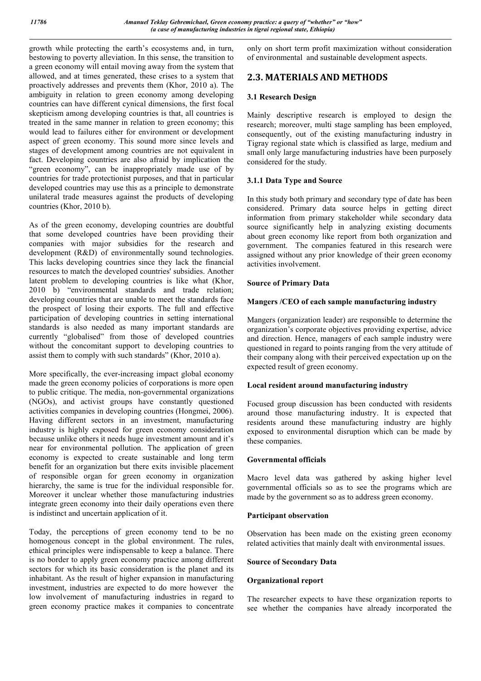growth while protecting the earth's ecosystems and, in turn, bestowing to poverty alleviation. In this sense, the transition to a green economy will entail moving away from the system that allowed, and at times generated, these crises to a system that proactively addresses and prevents them (Khor, 2010 a). The ambiguity in relation to green economy among developing countries can have different cynical dimensions, the first focal skepticism among developing countries is that, all countries is treated in the same manner in relation to green economy; this would lead to failures either for environment or development aspect of green economy. This sound more since levels and stages of development among countries are not equivalent in fact. Developing countries are also afraid by implication the "green economy", can be inappropriately made use of by countries for trade protectionist purposes, and that in particular developed countries may use this as a principle to demonstrate unilateral trade measures against the products of developing countries (Khor, 2010 b).

As of the green economy, developing countries are doubtful that some developed countries have been providing their companies with major subsidies for the research and development (R&D) of environmentally sound technologies. This lacks developing countries since they lack the financial resources to match the developed countries' subsidies. Another latent problem to developing countries is like what (Khor, 2010 b) "environmental standards and trade relation; developing countries that are unable to meet the standards face the prospect of losing their exports. The full and effective participation of developing countries in setting international standards is also needed as many important standards are currently "globalised" from those of developed countries without the concomitant support to developing countries to assist them to comply with such standards" (Khor, 2010 a).

More specifically, the ever-increasing impact global economy made the green economy policies of corporations is more open to public critique. The media, non-governmental organizations (NGOs), and activist groups have constantly questioned activities companies in developing countries (Hongmei, 2006). Having different sectors in an investment, manufacturing industry is highly exposed for green economy consideration because unlike others it needs huge investment amount and it's near for environmental pollution. The application of green economy is expected to create sustainable and long term benefit for an organization but there exits invisible placement of responsible organ for green economy in organization hierarchy, the same is true for the individual responsible for. Moreover it unclear whether those manufacturing industries integrate green economy into their daily operations even there is indistinct and uncertain application of it.

Today, the perceptions of green economy tend to be no homogenous concept in the global environment. The rules, ethical principles were indispensable to keep a balance. There is no border to apply green economy practice among different sectors for which its basic consideration is the planet and its inhabitant. As the result of higher expansion in manufacturing investment, industries are expected to do more however the low involvement of manufacturing industries in regard to green economy practice makes it companies to concentrate

only on short term profit maximization without consideration of environmental and sustainable development aspects.

# **2.3. MATERIALS AND METHODS**

# **3.1 Research Design**

Mainly descriptive research is employed to design the research; moreover, multi stage sampling has been employed, consequently, out of the existing manufacturing industry in Tigray regional state which is classified as large, medium and small only large manufacturing industries have been purposely considered for the study.

# **3.1.1 Data Type and Source**

In this study both primary and secondary type of date has been considered. Primary data source helps in getting direct information from primary stakeholder while secondary data source significantly help in analyzing existing documents about green economy like report from both organization and government. The companies featured in this research were assigned without any prior knowledge of their green economy activities involvement.

# **Source of Primary Data**

# **Mangers /CEO of each sample manufacturing industry**

Mangers (organization leader) are responsible to determine the organization's corporate objectives providing expertise, advice and direction. Hence, managers of each sample industry were questioned in regard to points ranging from the very attitude of their company along with their perceived expectation up on the expected result of green economy.

# **Local resident around manufacturing industry**

Focused group discussion has been conducted with residents around those manufacturing industry. It is expected that residents around these manufacturing industry are highly exposed to environmental disruption which can be made by these companies.

## **Governmental officials**

Macro level data was gathered by asking higher level governmental officials so as to see the programs which are made by the government so as to address green economy.

## **Participant observation**

Observation has been made on the existing green economy related activities that mainly dealt with environmental issues.

## **Source of Secondary Data**

## **Organizational report**

The researcher expects to have these organization reports to see whether the companies have already incorporated the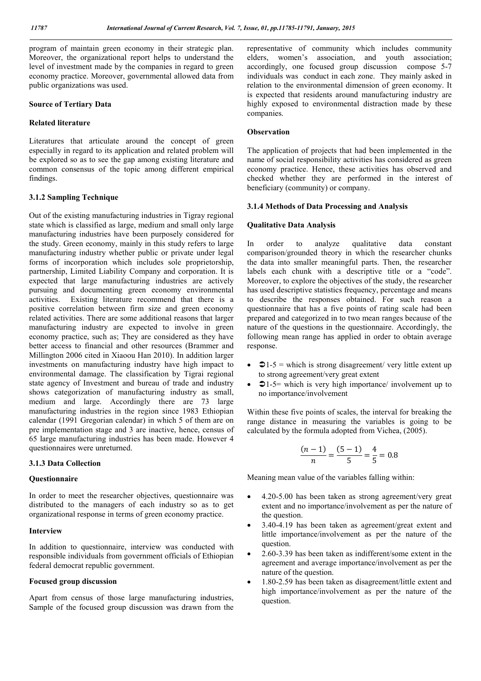program of maintain green economy in their strategic plan. Moreover, the organizational report helps to understand the level of investment made by the companies in regard to green economy practice. Moreover, governmental allowed data from public organizations was used.

#### **Source of Tertiary Data**

#### **Related literature**

Literatures that articulate around the concept of green especially in regard to its application and related problem will be explored so as to see the gap among existing literature and common consensus of the topic among different empirical findings.

#### **3.1.2 Sampling Technique**

Out of the existing manufacturing industries in Tigray regional state which is classified as large, medium and small only large manufacturing industries have been purposely considered for the study. Green economy, mainly in this study refers to large manufacturing industry whether public or private under legal forms of incorporation which includes sole proprietorship, partnership, Limited Liability Company and corporation. It is expected that large manufacturing industries are actively pursuing and documenting green economy environmental activities. Existing literature recommend that there is a positive correlation between firm size and green economy related activities. There are some additional reasons that larger manufacturing industry are expected to involve in green economy practice, such as; They are considered as they have better access to financial and other resources (Brammer and Millington 2006 cited in Xiaoou Han 2010). In addition larger investments on manufacturing industry have high impact to environmental damage. The classification by Tigrai regional state agency of Investment and bureau of trade and industry shows categorization of manufacturing industry as small, medium and large. Accordingly there are 73 large manufacturing industries in the region since 1983 Ethiopian calendar (1991 Gregorian calendar) in which 5 of them are on pre implementation stage and 3 are inactive, hence, census of 65 large manufacturing industries has been made. However 4 questionnaires were unreturned.

#### **3.1.3 Data Collection**

#### **Questionnaire**

In order to meet the researcher objectives, questionnaire was distributed to the managers of each industry so as to get organizational response in terms of green economy practice.

#### **Interview**

In addition to questionnaire, interview was conducted with responsible individuals from government officials of Ethiopian federal democrat republic government.

### **Focused group discussion**

Apart from census of those large manufacturing industries, Sample of the focused group discussion was drawn from the representative of community which includes community elders, women's association, and youth association; accordingly, one focused group discussion compose 5-7 individuals was conduct in each zone. They mainly asked in relation to the environmental dimension of green economy. It is expected that residents around manufacturing industry are highly exposed to environmental distraction made by these companies.

### **Observation**

The application of projects that had been implemented in the name of social responsibility activities has considered as green economy practice. Hence, these activities has observed and checked whether they are performed in the interest of beneficiary (community) or company.

#### **3.1.4 Methods of Data Processing and Analysis**

### **Qualitative Data Analysis**

In order to analyze qualitative data constant comparison/grounded theory in which the researcher chunks the data into smaller meaningful parts. Then, the researcher labels each chunk with a descriptive title or a "code". Moreover, to explore the objectives of the study, the researcher has used descriptive statistics frequency, percentage and means to describe the responses obtained. For such reason a questionnaire that has a five points of rating scale had been prepared and categorized in to two mean ranges because of the nature of the questions in the questionnaire. Accordingly, the following mean range has applied in order to obtain average response.

- $21-5$  = which is strong disagreement/ very little extent up to strong agreement/very great extent
- $\bigcirc$  1-5= which is very high importance/ involvement up to no importance/involvement

Within these five points of scales, the interval for breaking the range distance in measuring the variables is going to be calculated by the formula adopted from Vichea, (2005).

$$
\frac{(n-1)}{n} = \frac{(5-1)}{5} = \frac{4}{5} = 0.8
$$

Meaning mean value of the variables falling within:

- 4.20-5.00 has been taken as strong agreement/very great extent and no importance/involvement as per the nature of the question.
- 3.40-4.19 has been taken as agreement/great extent and little importance/involvement as per the nature of the question.
- 2.60-3.39 has been taken as indifferent/some extent in the agreement and average importance/involvement as per the nature of the question.
- 1.80-2.59 has been taken as disagreement/little extent and high importance/involvement as per the nature of the question.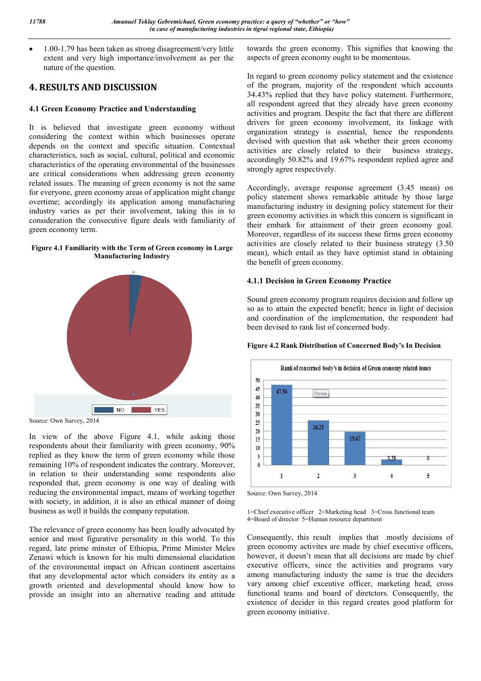1.00-1.79 has been taken as strong disagreement/very little extent and very high importance/involvement as per the nature of the question.

# **4. RESULTS AND DISCUSSION**

# **4.1 Green Economy Practice and Understanding**

It is believed that investigate green economy without considering the context within which businesses operate depends on the context and specific situation. Contextual characteristics, such as social, cultural, political and economic characteristics of the operating environmental of the businesses are critical considerations when addressing green economy related issues. The meaning of green economy is not the same for everyone, green economy areas of application might change overtime; accordingly its application among manufacturing industry varies as per their involvement, taking this in to consideration the consecutive figure deals with familiarity of green economy term.

#### **Figure 4.1 Familiarity with the Term of Green economy in Large Manufacturing Industry**



Source: Own Survey, 2014

In view of the above Figure 4.1, while asking those respondents about their familiarity with green economy, 90% replied as they know the term of green economy while those remaining 10% of respondent indicates the contrary. Moreover, in relation to their understanding some respondents also responded that, green economy is one way of dealing with reducing the environmental impact, means of working together with society, in addition, it is also an ethical manner of doing business as well it builds the company reputation.

The relevance of green economy has been loudly advocated by senior and most figurative personality in this world. To this regard, late prime minster of Ethiopia, Prime Minister Meles Zenawi which is known for his multi dimensional elucidation of the environmental impact on African continent ascertains that any developmental actor which considers its entity as a growth oriented and developmental should know how to provide an insight into an alternative reading and attitude

towards the green economy. This signifies that knowing the aspects of green economy ought to be momentous.

In regard to green economy policy statement and the existence of the program, majority of the respondent which accounts 34.43% replied that they have policy statement. Furthermore, all respondent agreed that they already have green economy activities and program. Despite the fact that there are different drivers for green economy involvement, its linkage with organization strategy is essential, hence the respondents devised with question that ask whether their green economy activities are closely related to their business strategy, activities are closely related to their accordingly 50.82% and 19.67% respondent replied agree and strongly agree respectively.

Accordingly, average response agreement (3.45 mean) on policy statement shows remarkable attitude by those large manufacturing industry in designing policy statement for their green economy activities in which this concern is significant in their embark for attainment of their green economy goal. Moreover, regardless of its success these firms green economy activities are closely related to their business strategy (3.50 mean), which entail as they have optimist stand in obtaining the benefit of green economy.

# **4.1.1 Decision in Green Economy Practice**

Sound green economy program requires decision and follow up so as to attain the expected benefit; hence in light of decision and coordination of the implementation, the respondent had been devised to rank list of concerned body.

## **Figure 4.2 Rank Distribution of Concerned Body's In Decision**



Source: Own Survey, 2014

1=Chief executive officer 2=Marketing head 3=Cross functional team 4=Board of director 5=Human resource department

Consequently, this result implies that mostly decisions of green economy activites are made by chief executive officers, however, it doesn't mean that all decisions are made by chief executive officers, since the activities and programs vary among manufacturing industy the same is true the deciders vary among chief exceutive officer, marketing head, cross functional teams and board of diretctors. Consequently, the existence of decider in this regard creates good platform for green economy initiative.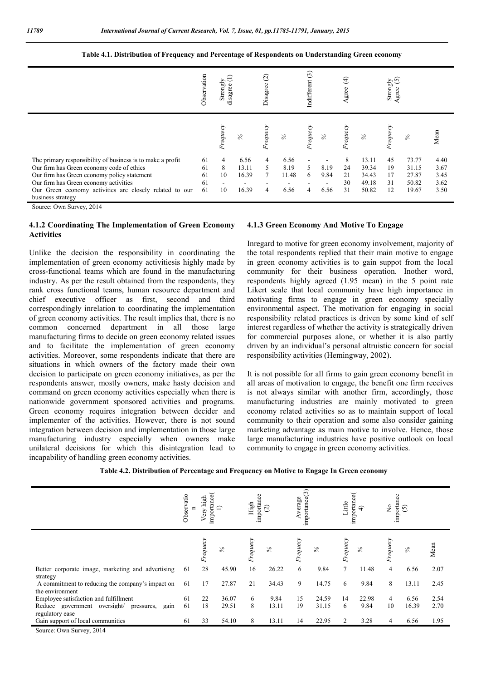**Table 4.1. Distribution of Frequency and Percentage of Respondents on Understanding Green economy**

|                                                                                                                                                                                                                                                                                 | Observation<br>Strongly<br>disagree |                                                             | Disagree (2)                    |                  | Indifferent (3)               |              | $\bigoplus$<br>Agree |                           | Strongly<br>$\overbrace{\text{tree}}^{\text{strongly}}$ | Agree                      |                                           |                                      |
|---------------------------------------------------------------------------------------------------------------------------------------------------------------------------------------------------------------------------------------------------------------------------------|-------------------------------------|-------------------------------------------------------------|---------------------------------|------------------|-------------------------------|--------------|----------------------|---------------------------|---------------------------------------------------------|----------------------------|-------------------------------------------|--------------------------------------|
|                                                                                                                                                                                                                                                                                 |                                     | Frequecy                                                    | $\%$                            | Frequecy         | $\%$                          | Frequecy     | $\%$                 | Frequecy                  | $\%$                                                    | Frequecy                   | $\frac{8}{3}$                             | Mean                                 |
| The primary responsibility of business is to make a profit<br>Our firm has Green economy code of ethics<br>Our firm has Green economy policy statement<br>Our firm has Green economy activities<br>Our Green economy activities are closely related to our<br>business strategy | 61<br>61<br>61<br>61<br>61          | $\overline{4}$<br>8<br>10<br>$\overline{\phantom{a}}$<br>10 | 6.56<br>13.11<br>16.39<br>16.39 | 4<br>5<br>7<br>4 | 6.56<br>8.19<br>11.48<br>6.56 | 5.<br>6<br>4 | 8.19<br>9.84<br>6.56 | 8<br>24<br>21<br>30<br>31 | 13.11<br>39.34<br>34.43<br>49.18<br>50.82               | 45<br>19<br>17<br>31<br>12 | 73.77<br>31.15<br>27.87<br>50.82<br>19.67 | 4.40<br>3.67<br>3.45<br>3.62<br>3.50 |

Source: Own Survey, 2014

#### **4.1.2 Coordinating The Implementation of Green Economy Activities**

Unlike the decision the responsibility in coordinating the implementation of green economy activitiesis highly made by cross-functional teams which are found in the manufacturing industry. As per the result obtained from the respondents, they rank cross functional teams, human resource department and chief executive officer as first, second and third correspondingly inrelation to coordinating the implementation of green economy activities. The result implies that, there is no common concerned department in all those large manufacturing firms to decide on green economy related issues and to facilitate the implementation of green economy activities. Moreover, some respondents indicate that there are situations in which owners of the factory made their own decision to participate on green economy initiatives, as per the respondents answer, mostly owners, make hasty decision and command on green economy activities especially when there is nationwide government sponsored activities and programs. Green economy requires integration between decider and implementer of the activities. However, there is not sound integration between decision and implementation in those large manufacturing industry especially when owners make unilateral decisions for which this disintegration lead to incapability of handling green economy activities.

#### **4.1.3 Green Economy And Motive To Engage**

Inregard to motive for green economy involvement, majority of the total respondents replied that their main motive to engage in green economy activities is to gain suppot from the local community for their business operation. Inother word, respondents highly agreed (1.95 mean) in the 5 point rate Likert scale that local community have high importance in motivating firms to engage in green economy specially environmental aspect. The motivation for engaging in social responsibility related practices is driven by some kind of self interest regardless of whether the activity is strategically driven for commercial purposes alone, or whether it is also partly driven by an individual's personal altruistic concern for social responsibility activities (Hemingway, 2002).

It is not possible for all firms to gain green economy benefit in all areas of motivation to engage, the benefit one firm receives is not always similar with another firm, accordingly, those manufacturing industries are mainly motivated to green economy related activities so as to maintain support of local community to their operation and some also consider gaining marketing advantage as main motive to involve. Hence, those large manufacturing industries have positive outlook on local community to engage in green economy activities.

| Table 4.2. Distribution of Percentage and Frequency on Motive to Engage In Green economy |  |  |  |
|------------------------------------------------------------------------------------------|--|--|--|
|------------------------------------------------------------------------------------------|--|--|--|

|                                                                       | importance<br>Observatio<br>high<br>n<br>Very |          | importance<br>High<br>$\widehat{\mathcal{N}}$ |        | importance(3)<br>Average |          | importance<br>Little<br>ډ |                | importance<br>$\frac{1}{2}$<br>$\widehat{5}$ |                |             |      |
|-----------------------------------------------------------------------|-----------------------------------------------|----------|-----------------------------------------------|--------|--------------------------|----------|---------------------------|----------------|----------------------------------------------|----------------|-------------|------|
|                                                                       |                                               | Frequecy | $\%$                                          | equecy | $\%$                     | Frequecy | $\%$                      | Frequecy       | $\%$                                         | Frequecy       | $\geqslant$ | Mean |
| Better corporate image, marketing and advertising<br>strategy         | 61                                            | 28       | 45.90                                         | 16     | 26.22                    | 6        | 9.84                      | $\tau$         | 11.48                                        | $\overline{4}$ | 6.56        | 2.07 |
| A commitment to reducing the company's impact on<br>the environment   | 61                                            | 17       | 27.87                                         | 21     | 34.43                    | 9        | 14.75                     | 6              | 9.84                                         | 8              | 13.11       | 2.45 |
| Employee satisfaction and fulfillment                                 | 61                                            | 22       | 36.07                                         | 6      | 9.84                     | 15       | 24.59                     | 14             | 22.98                                        | 4              | 6.56        | 2.54 |
| Reduce government oversight/<br>gain<br>pressures,<br>regulatory ease | 61                                            | 18       | 29.51                                         | 8      | 13.11                    | 19       | 31.15                     | 6              | 9.84                                         | 10             | 16.39       | 2.70 |
| Gain support of local communities                                     | 61                                            | 33       | 54.10                                         | 8      | 13.11                    | 14       | 22.95                     | $\overline{2}$ | 3.28                                         | 4              | 6.56        | 1.95 |
| Source: Own Survey, 2014                                              |                                               |          |                                               |        |                          |          |                           |                |                                              |                |             |      |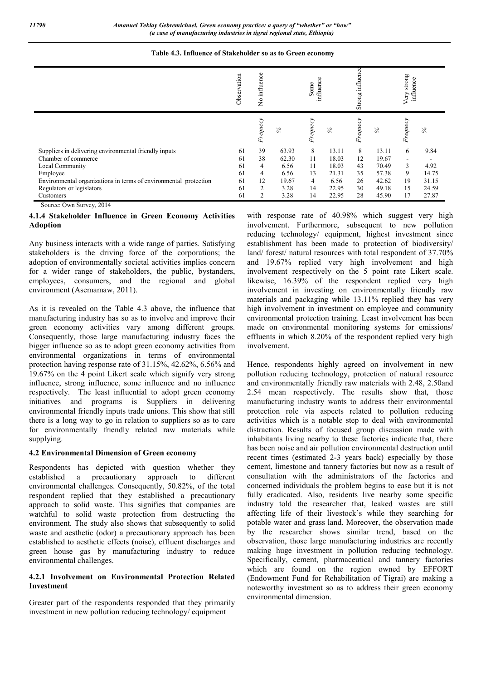| Table 4.3. Influence of Stakeholder so as to Green economy |  |
|------------------------------------------------------------|--|
|------------------------------------------------------------|--|

|                                                                  | vation<br>Obser | influence<br>$\tilde{z}$ |       | influence<br>Some |       | influe<br>Strong |       | Very strong<br>influence |       |
|------------------------------------------------------------------|-----------------|--------------------------|-------|-------------------|-------|------------------|-------|--------------------------|-------|
|                                                                  |                 | Frequecy                 | $\%$  | Frequecy          | $\%$  | Frequecy         | $\%$  | Frequecy                 | $\%$  |
| Suppliers in delivering environmental friendly inputs            | 61              | 39                       | 63.93 | 8                 | 13.11 | 8                | 13.11 | 6                        | 9.84  |
| Chamber of commerce                                              | 61              | 38                       | 62.30 | 11                | 18.03 | 12               | 19.67 | ۰                        |       |
| Local Community                                                  | 61              | 4                        | 6.56  | 11                | 18.03 | 43               | 70.49 | $\mathbf{3}$             | 4.92  |
| Employee                                                         | 61              | 4                        | 6.56  | 13                | 21.31 | 35               | 57.38 | 9                        | 14.75 |
| Environmental organizations in terms of environmental protection | 61              | 12                       | 19.67 | 4                 | 6.56  | 26               | 42.62 | 19                       | 31.15 |
| Regulators or legislators                                        | 61              | 2                        | 3.28  | 14                | 22.95 | 30               | 49.18 | 15                       | 24.59 |
| Customers                                                        | 61              | 2                        | 3.28  | 14                | 22.95 | 28               | 45.90 | 17                       | 27.87 |

Source: Own Survey, 2014

### **4.1.4 Stakeholder Influence in Green Economy Activities Adoption**

Any business interacts with a wide range of parties. Satisfying stakeholders is the driving force of the corporations; the adoption of environmentally societal activities implies concern for a wider range of stakeholders, the public, bystanders, employees, consumers, and the regional and global environment (Asemamaw, 2011).

As it is revealed on the Table 4.3 above, the influence that manufacturing industry has so as to involve and improve their green economy activities vary among different groups. Consequently, those large manufacturing industry faces the bigger influence so as to adopt green economy activities from environmental organizations in terms of environmental protection having response rate of 31.15%, 42.62%, 6.56% and 19.67% on the 4 point Likert scale which signify very strong influence, strong influence, some influence and no influence respectively. The least influential to adopt green economy initiatives and programs is Suppliers in delivering environmental friendly inputs trade unions. This show that still there is a long way to go in relation to suppliers so as to care for environmentally friendly related raw materials while supplying.

#### **4.2 Environmental Dimension of Green economy**

Respondents has depicted with question whether they established a precautionary approach to different environmental challenges. Consequently, 50.82%, of the total respondent replied that they established a precautionary approach to solid waste. This signifies that companies are watchful to solid waste protection from destructing the environment. The study also shows that subsequently to solid waste and aesthetic (odor) a precautionary approach has been established to aesthetic effects (noise), effluent discharges and green house gas by manufacturing industry to reduce environmental challenges.

### **4.2.1 Involvement on Environmental Protection Related Investment**

Greater part of the respondents responded that they primarily investment in new pollution reducing technology/ equipment

with response rate of 40.98% which suggest very high involvement. Furthermore, subsequent to new pollution reducing technology/ equipment, highest investment since establishment has been made to protection of biodiversity/ land/ forest/ natural resources with total respondent of 37.70% and 19.67% replied very high involvement and high involvement respectively on the 5 point rate Likert scale. likewise, 16.39% of the respondent replied very high involvement in investing on environmentally friendly raw materials and packaging while 13.11% replied they has very high involvement in investment on employee and community environmental protection training. Least involvement has been made on environmental monitoring systems for emissions/ effluents in which 8.20% of the respondent replied very high involvement.

Hence, respondents highly agreed on involvement in new pollution reducing technology, protection of natural resource and environmentally friendly raw materials with 2.48, 2.50and 2.54 mean respectively. The results show that, those manufacturing industry wants to address their environmental protection role via aspects related to pollution reducing activities which is a notable step to deal with environmental distraction. Results of focused group discussion made with inhabitants living nearby to these factories indicate that, there has been noise and air pollution environmental destruction until recent times (estimated 2-3 years back) especially by those cement, limestone and tannery factories but now as a result of consultation with the administrators of the factories and concerned individuals the problem begins to ease but it is not fully eradicated. Also, residents live nearby some specific industry told the researcher that, leaked wastes are still affecting life of their livestock's while they searching for potable water and grass land. Moreover, the observation made by the researcher shows similar trend, based on the observation, those large manufacturing industries are recently making huge investment in pollution reducing technology. Specifically, cement, pharmaceutical and tannery factories which are found on the region owned by EFFORT (Endowment Fund for Rehabilitation of Tigrai) are making a noteworthy investment so as to address their green economy environmental dimension.